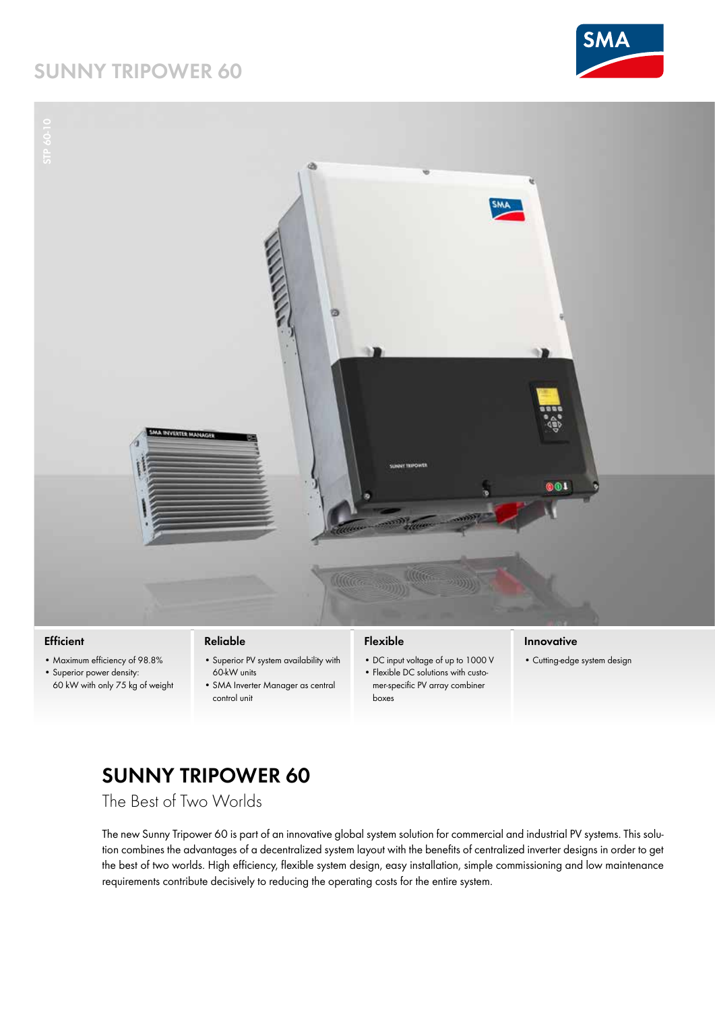## **SUNNY TRIPOWER 60**





## **Efficient**

• Maximum efficiency of 98.8%

• Superior power density: 60 kW with only 75 kg of weight

## **Reliable**

- • Superior PV system availability with 60-kW units
	- • SMA Inverter Manager as central control unit

## **Flexible**

- • DC input voltage of up to 1000 V
- Flexible DC solutions with customer-specific PV array combiner boxes

#### **Innovative**

• Cutting-edge system design

# **SUNNY TRIPOWER 60**

The Best of Two Worlds

The new Sunny Tripower 60 is part of an innovative global system solution for commercial and industrial PV systems. This solution combines the advantages of a decentralized system layout with the benefits of centralized inverter designs in order to get the best of two worlds. High efficiency, flexible system design, easy installation, simple commissioning and low maintenance requirements contribute decisively to reducing the operating costs for the entire system.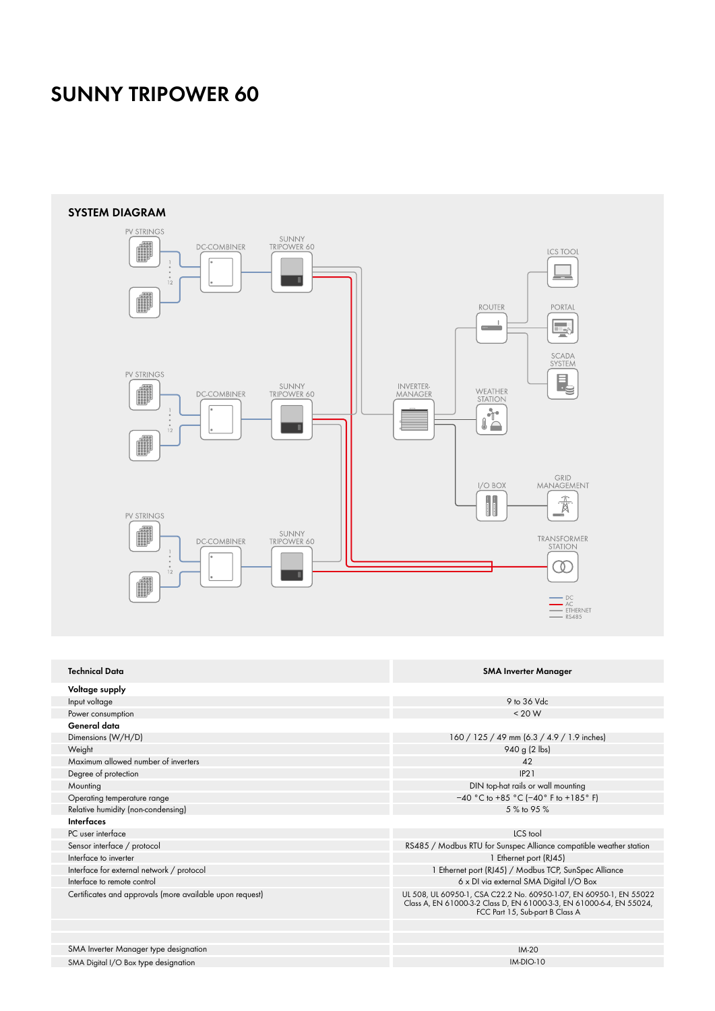## **SUNNY TRIPOWER 60**



SMA Digital I/O Box type designation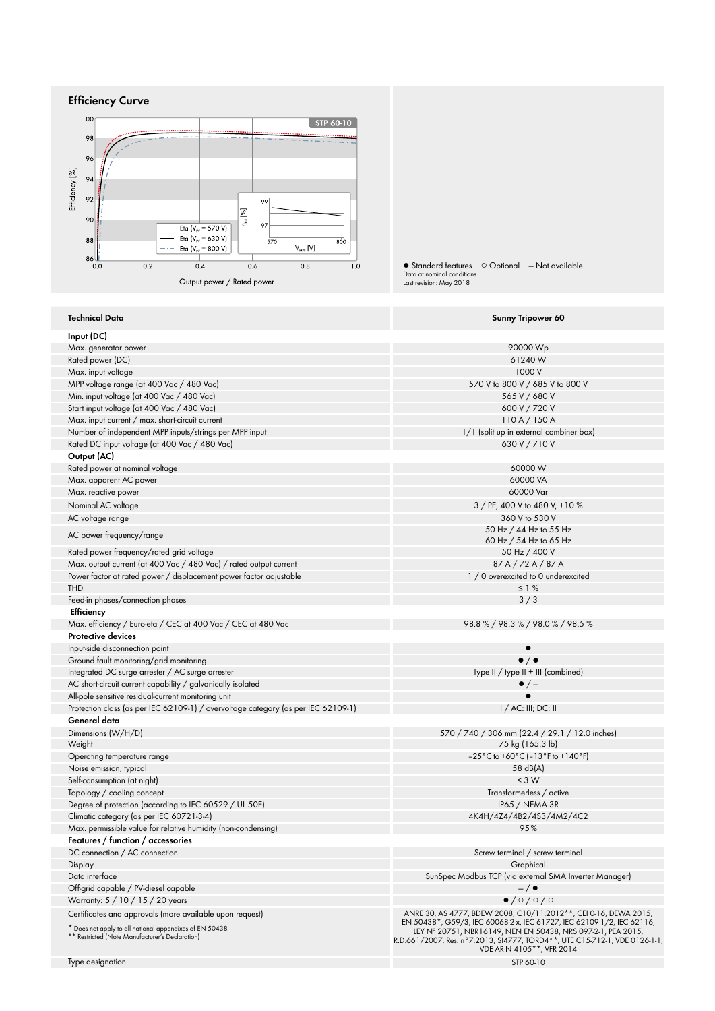



#### **Technical Data Sunny Tripower 60 Input (DC)** Max. generator power 90000 Wp (1240 W) and the state of the state of the state of the state of the state of the state of the state of the state of the state of the state of the state of the state of the state of the state Rated power (DC) Max. input voltage 1000 V and the contract of the contract of the contract of the contract of the contract of the contract of the contract of the contract of the contract of the contract of the contract of the contract of MPP voltage range (at 400 Vac / 480 Vac)<br>Min. input voltage 1at 400 Vac / 480 Vac) 570 V to 800 V / 685 V / 680 V Min. input voltage (at 400 Vac / 480 Vac) Start input voltage (at 400 Vac / 480 Vac) 600 V / 720 V Max. input current / max. short-circuit current<br>Number of independent MPP inputs/strings per MPP input 110 A / 150 A<br>Number of independent MPP inputs/strings per MPP input Number of independent MPP inputs/strings per MPP input Rated DC input voltage (at 400 Vac / 480 Vac) 630 V / 710 V **Output (AC)** Rated power at nominal voltage and the control of the control of the control of the control of the control of the control of the control of the control of the control of the control of the control of the control of the con Max. apparent AC power 60000 VA (2000) Was apparent AC power for the control of the control of the control of the control of the control of the control of the control of the control of the control of the control of the con Max. reactive power Nominal AC voltage 3 / PE, 400 V to 480 V,  $\pm 10$  % AC voltage range 360 V to 530 V<br>
AC voltage range 360 V to 530 V<br>  $\frac{1}{2}$  360 V to 530 V 530 V 530 V 540 V 540 V 550 Hz  $\frac{1}{2}$  44 Hz to 55 Hz AC power frequency/range 60 Hz / 54 Hz to 65 Hz Rated power frequency/rated grid voltage 50 Hz / 400 V<br>Max. output current (at 400 Vac / 480 Vac) / rated output current 50 Max. Subset 50 Hz / 72 A / 87 A Max. output current (at 400 Vac / 480 Vac) / rated output current 87 A / 72 A / 87 A / 72 A / 87 A<br>Power factor at rated power / displacement power factor adjustable 1 / 0 overexcited to 0 underexcited Power factor at rated power / displacement power factor adjustable THD  $\leq 1$  %  $\leq 1$  %  $\leq 1$  . The contract of the contract of the contract of the contract of the contract of the contract of the contract of the contract of the contract of the contract of the contract of the contrac Feed-in phases/connection phases 3 / 3  **Efficiency** Max. efficiency / Euro-eta / CEC at 400 Vac / CEC at 480 Vac 98.8 % / 98.9 % / 98.0 % / 98.0 % / 98.5 % **Protective devices** Input-side disconnection point Ground fault monitoring/grid monitoring<br>
Integrated DC surge arrester / AC surge arrester<br>
Type II / type II + III (combined) Integrated DC surge arrester / AC surge arrester AC short-circuit current capability / galvanically isolated  $\bullet / \rightarrow$ All-pole sensitive residual-current monitoring unit Protection class (as per IEC 62109-1) / overvoltage category (as per IEC 62109-1) I / AC: III; DC: II **General data** Dimensions (W/H/D)<br>Weight 570 / 740 / 306 mm (22.4 / 29.1 / 12.0 inches)<br>
75 kg (165.3 lb) 75 kg (165.3 lb) Operating temperature range  $-25^{\circ}\text{C}$  to +60°C ( $-13^{\circ}\text{F}$  to +140°F)<br>Noise emission, typical  $58 \text{ dB(A)}$ Noise emission, typical 58 dB(A) and the state of the state of the state of the state of the state of the state of the state of the state of the state of the state of the state of the state of the state of the state of the Self-consumption (at night) Topology / cooling concept Transformerless / active Degree of protection (according to IEC 60529 / UL 50E) [1965 / NEMA 3R IP65 / NEMA 3R IP65 / NEMA 3R IP65 / NEMA 3R IP65 / NEMA 3R IP65 / NEMA 3R IP65 / NEMA 3R IP65 / NEMA 3R IClimatic category (as per IEC 60721-3-4) Climatic category (as per IEC 60721-3-4) Max. permissible value for relative humidity (non-condensing) 95 % **Features / function / accessories** DC connection / AC connection Screw terminal / screw terminal / screw terminal / screw terminal / screw terminal Display Graphical Data interface<br>Off-arid capable / PV-diesel capable<br>Off-arid capable / PV-diesel capable Off-grid capable / PV-diesel capable — / ● Warranty:  $5 / 10 / 15 / 20$  years Certificates and approvals (more available upon request) \* Does not apply to all national appendixes of EN 50438 \*\* Restricted (Note Manufacturer's Declaration) ANRE 30, AS 4777, BDEW 2008, C10/11:2012\*\*, CEI 0-16, DEWA 2015,<br>EN 50438\*, G59/3, IEC 60068-2x, IEC 61727, IEC 62109-1/2, IEC 62116,<br>LEY N° 20751, NBR16149, NEN EN 50438, NRS 097-2-1, PEA 2015,<br>R.D.661/2007, Res. n° 7:201